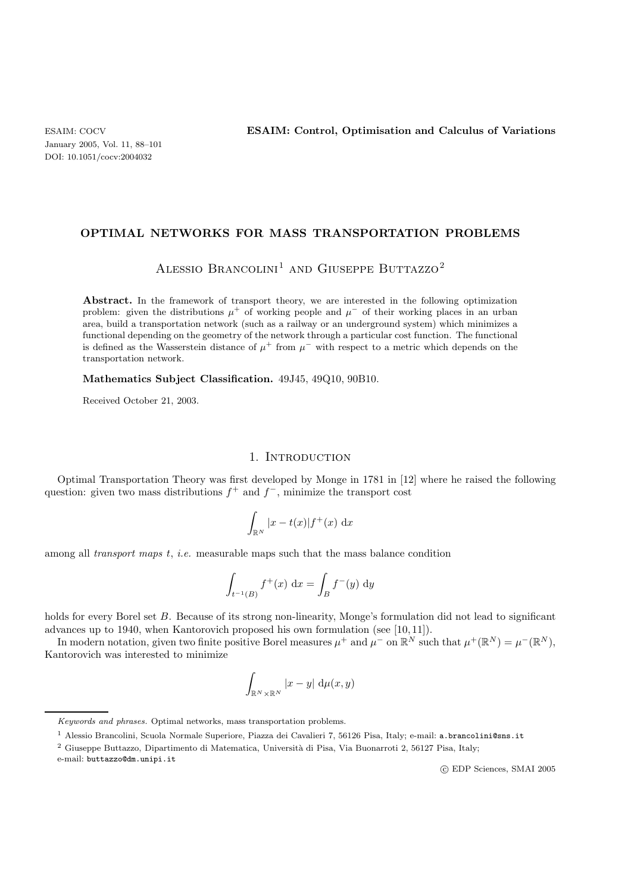### **OPTIMAL NETWORKS FOR MASS TRANSPORTATION PROBLEMS**

ALESSIO BRANCOLINI<sup>1</sup> AND GIUSEPPE BUTTAZZO<sup>2</sup>

**Abstract.** In the framework of transport theory, we are interested in the following optimization problem: given the distributions  $\mu^+$  of working people and  $\mu^-$  of their working places in an urban area, build a transportation network (such as a railway or an underground system) which minimizes a functional depending on the geometry of the network through a particular cost function. The functional is defined as the Wasserstein distance of  $\mu^+$  from  $\mu^-$  with respect to a metric which depends on the transportation network.

**Mathematics Subject Classification.** 49J45, 49Q10, 90B10.

Received October 21, 2003.

# 1. INTRODUCTION

Optimal Transportation Theory was first developed by Monge in 1781 in [12] where he raised the following question: given two mass distributions  $f^+$  and  $f^-$ , minimize the transport cost

$$
\int_{\mathbb{R}^N} |x - t(x)| f^{+}(x) \, \mathrm{d}x
$$

among all *transport maps* t, *i.e.* measurable maps such that the mass balance condition

$$
\int_{t^{-1}(B)} f^{+}(x) dx = \int_{B} f^{-}(y) dy
$$

holds for every Borel set B. Because of its strong non-linearity, Monge's formulation did not lead to significant advances up to 1940, when Kantorovich proposed his own formulation (see [10, 11]).

In modern notation, given two finite positive Borel measures  $\mu^+$  and  $\mu^-$  on  $\mathbb{R}^N$  such that  $\mu^+(\mathbb{R}^N) = \mu^-(\mathbb{R}^N)$ , Kantorovich was interested to minimize

$$
\int_{\mathbb{R}^N\times\mathbb{R}^N}|x-y|\,\mathrm{d}\mu(x,y)
$$

e-mail: buttazzo@dm.unipi.it

c EDP Sciences, SMAI 2005

Keywords and phrases. Optimal networks, mass transportation problems.

<sup>1</sup> Alessio Brancolini, Scuola Normale Superiore, Piazza dei Cavalieri 7, 56126 Pisa, Italy; e-mail: a.brancolini@sns.it

<sup>&</sup>lt;sup>2</sup> Giuseppe Buttazzo, Dipartimento di Matematica, Università di Pisa, Via Buonarroti 2, 56127 Pisa, Italy;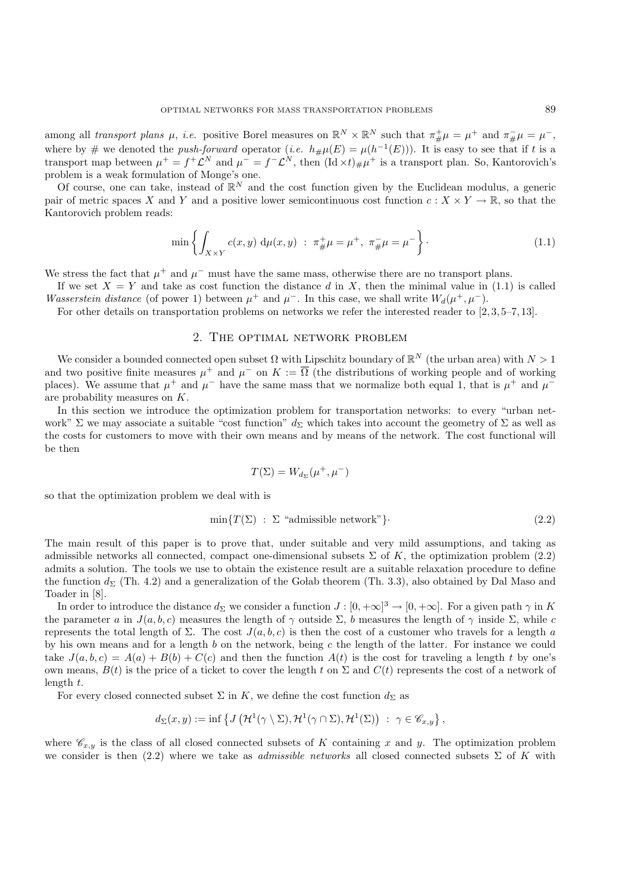among all *transport plans*  $\mu$ , *i.e.* positive Borel measures on  $\mathbb{R}^N \times \mathbb{R}^N$  such that  $\pi^+_{\#}\mu = \mu^+$  and  $\pi^-_{\#}\mu = \mu^-$ , where by # we denoted the *push-forward* operator (*i.e.*  $h_{\#}\mu(E) = \mu(h^{-1}(E))$ ). It is easy to see that if t is a transport map between  $\mu^+ = f^+ \mathcal{L}^N$  and  $\mu^- = f^- \mathcal{L}^N$ , then  $(\mathrm{Id} \times t)_{\#} \mu^+$  is a transport plan. So, Kantorovich's problem is a weak formulation of Monge's one.

Of course, one can take, instead of  $\mathbb{R}^N$  and the cost function given by the Euclidean modulus, a generic pair of metric spaces X and Y and a positive lower semicontinuous cost function  $c: X \times Y \to \mathbb{R}$ , so that the Kantorovich problem reads:

$$
\min \left\{ \int_{X \times Y} c(x, y) \, \mathrm{d}\mu(x, y) \; : \; \pi_{\#}^+ \mu = \mu^+, \; \pi_{\#}^- \mu = \mu^- \right\}.
$$
 (1.1)

We stress the fact that  $\mu^+$  and  $\mu^-$  must have the same mass, otherwise there are no transport plans.

If we set  $X = Y$  and take as cost function the distance d in X, then the minimal value in (1.1) is called *Wasserstein distance* (of power 1) between  $\mu^+$  and  $\mu^-$ . In this case, we shall write  $W_d(\mu^+,\mu^-)$ .

For other details on transportation problems on networks we refer the interested reader to [2, 3, 5–7, 13].

#### 2. The optimal network problem

We consider a bounded connected open subset  $\Omega$  with Lipschitz boundary of  $\mathbb{R}^N$  (the urban area) with  $N > 1$ and two positive finite measures  $\mu^+$  and  $\mu^-$  on  $K := \overline{\Omega}$  (the distributions of working people and of working places). We assume that  $\mu^+$  and  $\mu^-$  have the same mass that we normalize both equal 1, that is  $\mu^+$  and  $\mu^$ are probability measures on K.

In this section we introduce the optimization problem for transportation networks: to every "urban network" Σ we may associate a suitable "cost function"  $d_{\Sigma}$  which takes into account the geometry of Σ as well as the costs for customers to move with their own means and by means of the network. The cost functional will be then

$$
T(\Sigma) = W_{d_{\Sigma}}(\mu^+, \mu^-)
$$

so that the optimization problem we deal with is

$$
\min\{T(\Sigma) \ : \ \Sigma \ \text{``admissible network''}\} \tag{2.2}
$$

The main result of this paper is to prove that, under suitable and very mild assumptions, and taking as admissible networks all connected, compact one-dimensional subsets  $\Sigma$  of K, the optimization problem (2.2) admits a solution. The tools we use to obtain the existence result are a suitable relaxation procedure to define the function  $d_{\Sigma}$  (Th. 4.2) and a generalization of the Golab theorem (Th. 3.3), also obtained by Dal Maso and Toader in [8].

In order to introduce the distance  $d_{\Sigma}$  we consider a function  $J : [0, +\infty]^3 \to [0, +\infty]$ . For a given path  $\gamma$  in K the parameter a in  $J(a, b, c)$  measures the length of  $\gamma$  outside  $\Sigma$ , b measures the length of  $\gamma$  inside  $\Sigma$ , while c represents the total length of  $\Sigma$ . The cost  $J(a, b, c)$  is then the cost of a customer who travels for a length a by his own means and for a length b on the network, being c the length of the latter. For instance we could take  $J(a, b, c) = A(a) + B(b) + C(c)$  and then the function  $A(t)$  is the cost for traveling a length t by one's own means,  $B(t)$  is the price of a ticket to cover the length t on  $\Sigma$  and  $C(t)$  represents the cost of a network of length t.

For every closed connected subset  $\Sigma$  in K, we define the cost function  $d_{\Sigma}$  as

$$
d_{\Sigma}(x,y) := \inf \left\{ J\left(\mathcal{H}^1(\gamma \setminus \Sigma), \mathcal{H}^1(\gamma \cap \Sigma), \mathcal{H}^1(\Sigma)\right) : \gamma \in \mathscr{C}_{x,y} \right\},\
$$

where  $\mathscr{C}_{x,y}$  is the class of all closed connected subsets of K containing x and y. The optimization problem we consider is then  $(2.2)$  where we take as *admissible networks* all closed connected subsets  $\Sigma$  of K with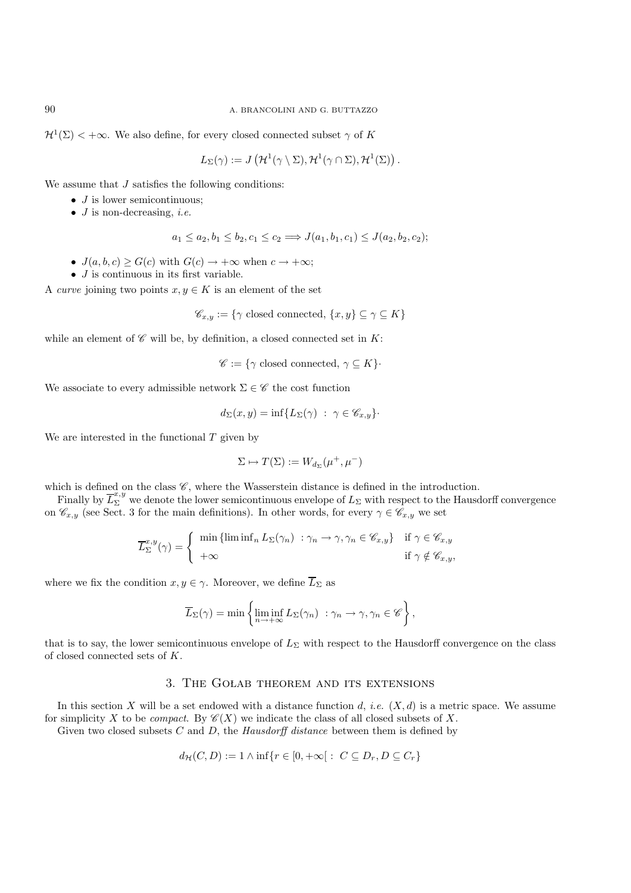90 A. BRANCOLINI AND G. BUTTAZZO

 $\mathcal{H}^1(\Sigma) < +\infty$ . We also define, for every closed connected subset  $\gamma$  of K

$$
L_{\Sigma}(\gamma) := J\left(\mathcal{H}^1(\gamma \setminus \Sigma), \mathcal{H}^1(\gamma \cap \Sigma), \mathcal{H}^1(\Sigma)\right).
$$

We assume that J satisfies the following conditions:

- $\bullet$  *J* is lower semicontinuous:
- J is non-decreasing, *i.e.*

$$
a_1 \le a_2, b_1 \le b_2, c_1 \le c_2 \Longrightarrow J(a_1, b_1, c_1) \le J(a_2, b_2, c_2);
$$

- $J(a, b, c) \ge G(c)$  with  $G(c) \rightarrow +\infty$  when  $c \rightarrow +\infty$ ;
- $\bullet$  *J* is continuous in its first variable.

A *curve* joining two points  $x, y \in K$  is an element of the set

$$
\mathscr{C}_{x,y} := \{ \gamma \text{ closed connected}, \{x,y\} \subseteq \gamma \subseteq K \}
$$

while an element of  $\mathscr C$  will be, by definition, a closed connected set in  $K$ :

 $\mathscr{C} := \{ \gamma \text{ closed connected}, \gamma \subseteq K \}.$ 

We associate to every admissible network  $\Sigma \in \mathscr{C}$  the cost function

$$
d_{\Sigma}(x, y) = \inf \{ L_{\Sigma}(\gamma) : \gamma \in \mathscr{C}_{x, y} \}.
$$

We are interested in the functional  $T$  given by

$$
\Sigma \mapsto T(\Sigma) := W_{d_{\Sigma}}(\mu^+, \mu^-)
$$

which is defined on the class  $\mathscr{C}$ , where the Wasserstein distance is defined in the introduction.

Finally by  $\overline{L}_{\Sigma}^{x,y}$  we denote the lower semicontinuous envelope of  $L_{\Sigma}$  with respect to the Hausdorff convergence on  $\mathscr{C}_{x,y}$  (see Sect. 3 for the main definitions). In other words, for every  $\gamma \in \mathscr{C}_{x,y}$  we set

$$
\overline{L}_{\Sigma}^{x,y}(\gamma) = \begin{cases} \min\left\{ \liminf_{n} L_{\Sigma}(\gamma_n) \ : \gamma_n \to \gamma, \gamma_n \in \mathscr{C}_{x,y} \right\} & \text{if } \gamma \in \mathscr{C}_{x,y} \\ +\infty & \text{if } \gamma \notin \mathscr{C}_{x,y}, \end{cases}
$$

where we fix the condition  $x, y \in \gamma$ . Moreover, we define  $\overline{L}_{\Sigma}$  as

$$
\overline{L}_{\Sigma}(\gamma) = \min \left\{ \liminf_{n \to +\infty} L_{\Sigma}(\gamma_n) : \gamma_n \to \gamma, \gamma_n \in \mathscr{C} \right\},\
$$

that is to say, the lower semicontinuous envelope of  $L_{\Sigma}$  with respect to the Hausdorff convergence on the class of closed connected sets of K.

# 3. The Golab theorem and its extensions

In this section X will be a set endowed with a distance function  $d$ , *i.e.*  $(X, d)$  is a metric space. We assume for simplicity X to be *compact*. By  $\mathscr{C}(X)$  we indicate the class of all closed subsets of X.

Given two closed subsets C and D, the *Hausdorff distance* between them is defined by

$$
d_{\mathcal{H}}(C,D) := 1 \wedge \inf \{ r \in [0, +\infty[ : C \subseteq D_r, D \subseteq C_r \}
$$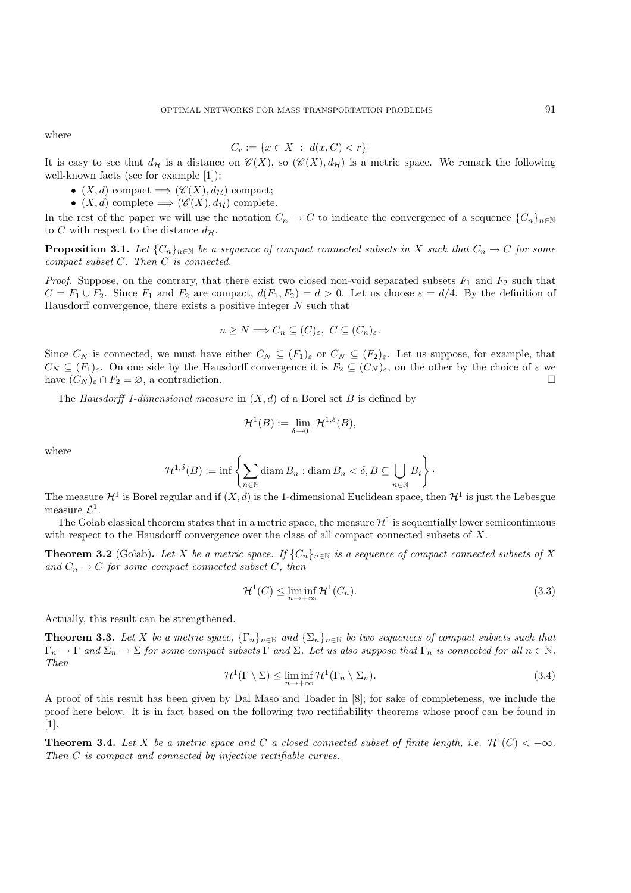where

$$
C_r := \{ x \in X \ : \ d(x, C) < r \}.
$$

It is easy to see that  $d_{\mathcal{H}}$  is a distance on  $\mathscr{C}(X)$ , so  $(\mathscr{C}(X), d_{\mathcal{H}})$  is a metric space. We remark the following well-known facts (see for example [1]):

- $(X, d)$  compact  $\Longrightarrow (\mathscr{C}(X), d_{\mathcal{H}})$  compact;
- $(X, d)$  complete  $\Longrightarrow (\mathscr{C}(X), d_{\mathcal{H}})$  complete.

In the rest of the paper we will use the notation  $C_n \to C$  to indicate the convergence of a sequence  $\{C_n\}_{n\in\mathbb{N}}$ to C with respect to the distance  $d_{\mathcal{H}}$ .

**Proposition 3.1.** *Let*  ${C_n}_{n \in \mathbb{N}}$  *be a sequence of compact connected subsets in* X *such that*  $C_n \to C$  *for some compact subset* C*. Then* C *is connected.*

*Proof.* Suppose, on the contrary, that there exist two closed non-void separated subsets  $F_1$  and  $F_2$  such that  $C = F_1 \cup F_2$ . Since  $F_1$  and  $F_2$  are compact,  $d(F_1, F_2) = d > 0$ . Let us choose  $\varepsilon = d/4$ . By the definition of Hausdorff convergence, there exists a positive integer  $N$  such that

$$
n \ge N \Longrightarrow C_n \subseteq (C)_{\varepsilon}, \ C \subseteq (C_n)_{\varepsilon}.
$$

Since  $C_N$  is connected, we must have either  $C_N \subseteq (F_1)_{\varepsilon}$  or  $C_N \subseteq (F_2)_{\varepsilon}$ . Let us suppose, for example, that  $C_N \subseteq (F_1)_{\varepsilon}$ . On one side by the Hausdorff convergence it is  $F_2 \subseteq (C_N)_{\varepsilon}$ , on the other by the choice of  $\varepsilon$  we have  $(C_N)_{\varepsilon} \cap F_2 = \emptyset$ , a contradiction.

The *Hausdorff 1-dimensional measure* in (X, d) of a Borel set B is defined by

$$
\mathcal{H}^1(B):=\lim_{\delta\to 0^+}\mathcal{H}^{1,\delta}(B),
$$

where

$$
\mathcal{H}^{1,\delta}(B) := \inf \left\{ \sum_{n \in \mathbb{N}} \operatorname{diam} B_n : \operatorname{diam} B_n < \delta, B \subseteq \bigcup_{n \in \mathbb{N}} B_i \right\}.
$$

The measure  $\mathcal{H}^1$  is Borel regular and if  $(X, d)$  is the 1-dimensional Euclidean space, then  $\mathcal{H}^1$  is just the Lebesgue measure  $\mathcal{L}^1$ .

The Golab classical theorem states that in a metric space, the measure  $\mathcal{H}^1$  is sequentially lower semicontinuous with respect to the Hausdorff convergence over the class of all compact connected subsets of  $X$ .

**Theorem 3.2** (Golab). Let X be a metric space. If  ${C_n}_{n \in \mathbb{N}}$  is a sequence of compact connected subsets of X and  $C_n \to C$  *for some compact connected subset* C, then

$$
\mathcal{H}^1(C) \le \liminf_{n \to +\infty} \mathcal{H}^1(C_n). \tag{3.3}
$$

Actually, this result can be strengthened.

**Theorem 3.3.** *Let* X *be a metric space*,  $\{\Gamma_n\}_{n\in\mathbb{N}}$  *and*  $\{\Sigma_n\}_{n\in\mathbb{N}}$  *be two sequences of compact subsets such that*  $\Gamma_n \to \Gamma$  and  $\Sigma_n \to \Sigma$  for some compact subsets  $\Gamma$  and  $\Sigma$ . Let us also suppose that  $\Gamma_n$  is connected for all  $n \in \mathbb{N}$ . *Then*

$$
\mathcal{H}^1(\Gamma \setminus \Sigma) \le \liminf_{n \to +\infty} \mathcal{H}^1(\Gamma_n \setminus \Sigma_n). \tag{3.4}
$$

A proof of this result has been given by Dal Maso and Toader in [8]; for sake of completeness, we include the proof here below. It is in fact based on the following two rectifiability theorems whose proof can be found in [1].

**Theorem 3.4.** *Let* X *be a metric space and* C *a closed connected subset of finite length, i.e.*  $\mathcal{H}^1(C) < +\infty$ *. Then* C *is compact and connected by injective rectifiable curves.*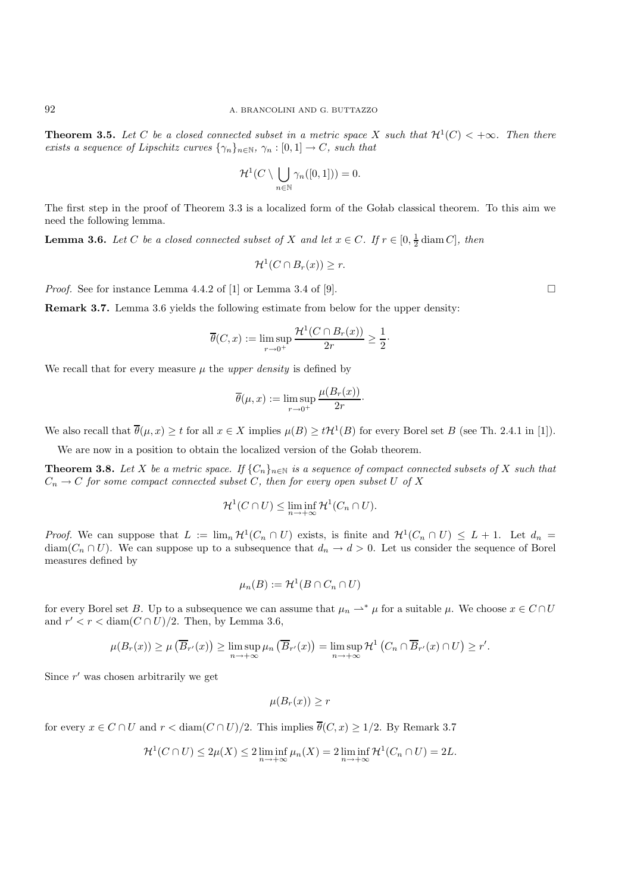**Theorem 3.5.** *Let* C *be a closed connected subset in a metric space* X *such that*  $\mathcal{H}^1(C) < +\infty$ *. Then there exists a sequence of Lipschitz curves*  $\{\gamma_n\}_{n\in\mathbb{N}}$ ,  $\gamma_n : [0,1] \to C$ , such that

$$
\mathcal{H}^1(C \setminus \bigcup_{n \in \mathbb{N}} \gamma_n([0,1])) = 0.
$$

The first step in the proof of Theorem 3.3 is a localized form of the Golab classical theorem. To this aim we need the following lemma.

**Lemma 3.6.** *Let* C *be a closed connected subset of* X *and let*  $x \in C$ *. If*  $r \in [0, \frac{1}{2} \text{diam } C]$ *, then* 

$$
\mathcal{H}^1(C \cap B_r(x)) \ge r.
$$

*Proof.* See for instance Lemma 4.4.2 of [1] or Lemma 3.4 of [9].

**Remark 3.7.** Lemma 3.6 yields the following estimate from below for the upper density:

$$
\overline{\theta}(C, x) := \limsup_{r \to 0^+} \frac{\mathcal{H}^1(C \cap B_r(x))}{2r} \ge \frac{1}{2}.
$$

We recall that for every measure  $\mu$  the *upper density* is defined by

$$
\overline{\theta}(\mu, x) := \limsup_{r \to 0^+} \frac{\mu(B_r(x))}{2r}.
$$

We also recall that  $\overline{\theta}(\mu, x) \ge t$  for all  $x \in X$  implies  $\mu(B) \ge t\mathcal{H}^1(B)$  for every Borel set B (see Th. 2.4.1 in [1]).

We are now in a position to obtain the localized version of the Golab theorem.

**Theorem 3.8.** *Let* X *be a metric space.* If  $\{C_n\}_{n\in\mathbb{N}}$  *is a sequence of compact connected subsets of* X *such that*  $C_n \to C$  *for some compact connected subset* C, then *for every open subset* U *of* X

$$
\mathcal{H}^1(C \cap U) \le \liminf_{n \to +\infty} \mathcal{H}^1(C_n \cap U).
$$

*Proof.* We can suppose that  $L := \lim_n \mathcal{H}^1(C_n \cap U)$  exists, is finite and  $\mathcal{H}^1(C_n \cap U) \leq L + 1$ . Let  $d_n =$  $diam(C_n \cap U)$ . We can suppose up to a subsequence that  $d_n \to d > 0$ . Let us consider the sequence of Borel measures defined by

$$
\mu_n(B) := \mathcal{H}^1(B \cap C_n \cap U)
$$

for every Borel set B. Up to a subsequence we can assume that  $\mu_n \rightharpoonup^* \mu$  for a suitable  $\mu$ . We choose  $x \in C \cap U$ and  $r' < r < \text{diam}(C \cap U)/2$ . Then, by Lemma 3.6,

$$
\mu(B_r(x)) \ge \mu\left(\overline{B}_{r'}(x)\right) \ge \limsup_{n \to +\infty} \mu_n\left(\overline{B}_{r'}(x)\right) = \limsup_{n \to +\infty} \mathcal{H}^1\left(C_n \cap \overline{B}_{r'}(x) \cap U\right) \ge r'.
$$

Since  $r'$  was chosen arbitrarily we get

$$
\mu(B_r(x)) \ge r
$$

for every  $x \in C \cap U$  and  $r < \text{diam}(C \cap U)/2$ . This implies  $\overline{\theta}(C, x) \geq 1/2$ . By Remark 3.7

$$
\mathcal{H}^1(C \cap U) \le 2\mu(X) \le 2 \liminf_{n \to +\infty} \mu_n(X) = 2 \liminf_{n \to +\infty} \mathcal{H}^1(C_n \cap U) = 2L.
$$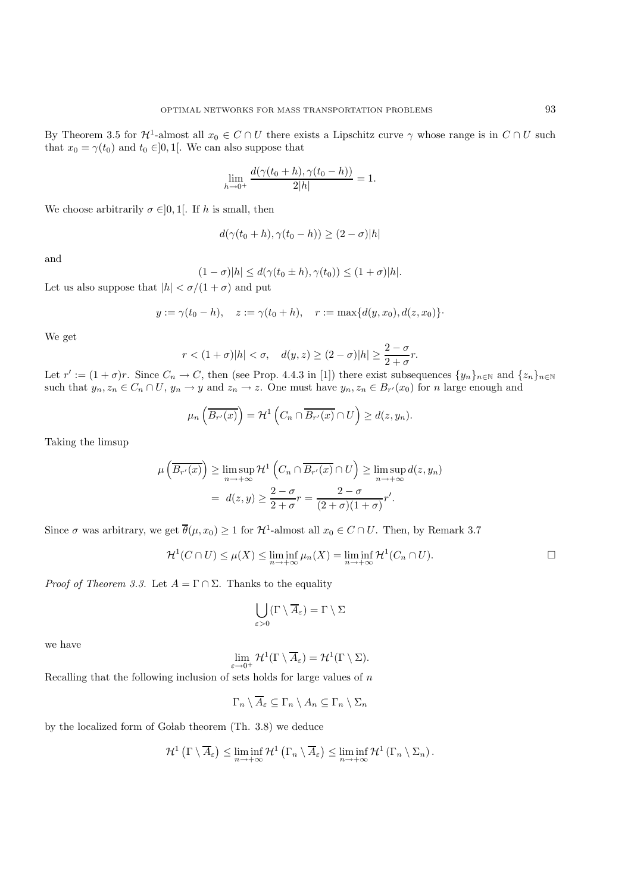By Theorem 3.5 for  $\mathcal{H}^1$ -almost all  $x_0 \in C \cap U$  there exists a Lipschitz curve  $\gamma$  whose range is in  $C \cap U$  such that  $x_0 = \gamma(t_0)$  and  $t_0 \in ]0,1[$ . We can also suppose that

$$
\lim_{h \to 0^+} \frac{d(\gamma(t_0 + h), \gamma(t_0 - h))}{2|h|} = 1.
$$

We choose arbitrarily  $\sigma \in ]0,1[$ . If h is small, then

$$
d(\gamma(t_0+h), \gamma(t_0-h)) \ge (2-\sigma)|h|
$$

and

$$
(1 - \sigma)|h| \le d(\gamma(t_0 \pm h), \gamma(t_0)) \le (1 + \sigma)|h|.
$$

Let us also suppose that  $|h| < \sigma/(1+\sigma)$  and put

$$
y := \gamma(t_0 - h), \quad z := \gamma(t_0 + h), \quad r := \max\{d(y, x_0), d(z, x_0)\}\cdot
$$

We get

$$
r < (1 + \sigma)|h| < \sigma, \quad d(y, z) \ge (2 - \sigma)|h| \ge \frac{2 - \sigma}{2 + \sigma}r.
$$

Let  $r' := (1 + \sigma)r$ . Since  $C_n \to C$ , then (see Prop. 4.4.3 in [1]) there exist subsequences  $\{y_n\}_{n\in\mathbb{N}}$  and  $\{z_n\}_{n\in\mathbb{N}}$ such that  $y_n, z_n \in C_n \cap U$ ,  $y_n \to y$  and  $z_n \to z$ . One must have  $y_n, z_n \in B_{r'}(x_0)$  for n large enough and

$$
\mu_n\left(\overline{B_{r'}(x)}\right) = \mathcal{H}^1\left(C_n \cap \overline{B_{r'}(x)} \cap U\right) \ge d(z, y_n).
$$

Taking the limsup

$$
\mu\left(\overline{B_{r'}(x)}\right) \ge \limsup_{n \to +\infty} \mathcal{H}^1\left(C_n \cap \overline{B_{r'}(x)} \cap U\right) \ge \limsup_{n \to +\infty} d(z, y_n)
$$

$$
= d(z, y) \ge \frac{2 - \sigma}{2 + \sigma} r = \frac{2 - \sigma}{(2 + \sigma)(1 + \sigma)} r'.
$$

Since  $\sigma$  was arbitrary, we get  $\overline{\theta}(\mu, x_0) \geq 1$  for  $\mathcal{H}^1$ -almost all  $x_0 \in C \cap U$ . Then, by Remark 3.7

$$
\mathcal{H}^1(C \cap U) \le \mu(X) \le \liminf_{n \to +\infty} \mu_n(X) = \liminf_{n \to +\infty} \mathcal{H}^1(C_n \cap U).
$$

*Proof of Theorem 3.3.* Let  $A = \Gamma \cap \Sigma$ . Thanks to the equality

$$
\bigcup_{\varepsilon>0} (\Gamma \setminus \overline{A}_{\varepsilon}) = \Gamma \setminus \Sigma
$$

we have

$$
\lim_{\varepsilon \to 0^+} \mathcal{H}^1(\Gamma \setminus \overline{A}_{\varepsilon}) = \mathcal{H}^1(\Gamma \setminus \Sigma).
$$

Recalling that the following inclusion of sets holds for large values of  $n$ 

$$
\Gamma_n \setminus \overline{A}_{\varepsilon} \subseteq \Gamma_n \setminus A_n \subseteq \Gamma_n \setminus \Sigma_n
$$

by the localized form of Golab theorem (Th. 3.8) we deduce

$$
\mathcal{H}^1\left(\Gamma\setminus\overline{A}_{\varepsilon}\right)\leq \liminf_{n\to+\infty}\mathcal{H}^1\left(\Gamma_n\setminus\overline{A}_{\varepsilon}\right)\leq \liminf_{n\to+\infty}\mathcal{H}^1\left(\Gamma_n\setminus\Sigma_n\right).
$$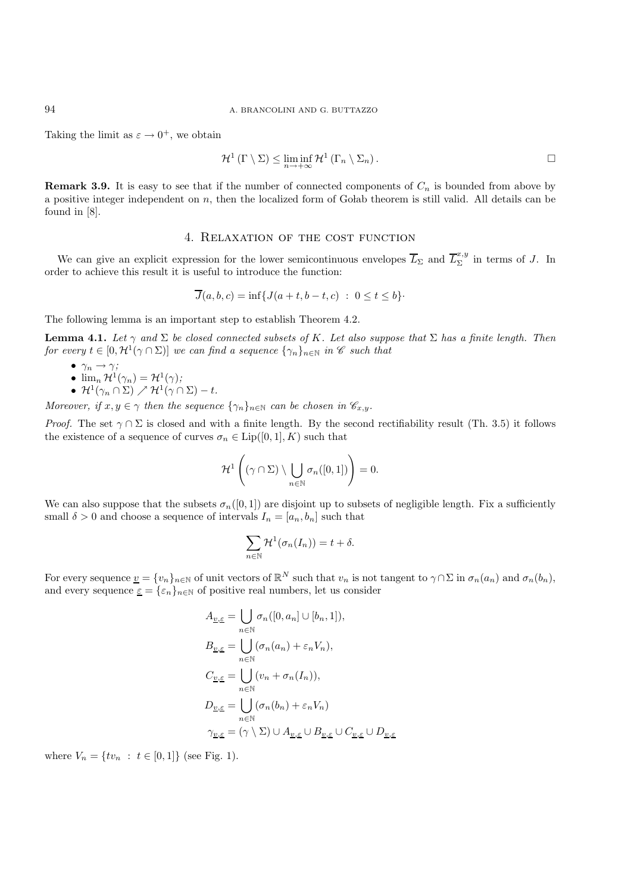Taking the limit as  $\varepsilon \to 0^+$ , we obtain

$$
\mathcal{H}^1(\Gamma \setminus \Sigma) \leq \liminf_{n \to +\infty} \mathcal{H}^1(\Gamma_n \setminus \Sigma_n).
$$

**Remark 3.9.** It is easy to see that if the number of connected components of  $C_n$  is bounded from above by a positive integer independent on n, then the localized form of Golab theorem is still valid. All details can be found in [8].

## 4. Relaxation of the cost function

We can give an explicit expression for the lower semicontinuous envelopes  $\overline{L}_{\Sigma}$  and  $\overline{L}_{\Sigma}^{x,y}$  in terms of J. In order to achieve this result it is useful to introduce the function:

$$
\overline{J}(a, b, c) = \inf\{J(a+t, b-t, c) : 0 \le t \le b\}.
$$

The following lemma is an important step to establish Theorem 4.2.

**Lemma 4.1.** *Let*  $\gamma$  *and*  $\Sigma$  *be closed connected subsets of* K. *Let also suppose that*  $\Sigma$  *has a finite length. Then for every*  $t \in [0, \mathcal{H}^1(\gamma \cap \Sigma)]$  *we can find a sequence*  $\{\gamma_n\}_{n \in \mathbb{N}}$  *in C such that* 

- $\gamma_n \to \gamma$ *;*
- $\lim_{n} \mathcal{H}^{1}(\gamma_{n}) = \mathcal{H}^{1}(\gamma);$
- $\bullet$   $\mathcal{H}^1(\gamma_n\cap\Sigma)\nearrow\mathcal{H}^1(\gamma\cap\Sigma)-t.$

*Moreover, if*  $x, y \in \gamma$  *then the sequence*  $\{\gamma_n\}_{n \in \mathbb{N}}$  *can be chosen in*  $\mathscr{C}_{x,y}$ *.* 

*Proof.* The set  $\gamma \cap \Sigma$  is closed and with a finite length. By the second rectifiability result (Th. 3.5) it follows the existence of a sequence of curves  $\sigma_n \in \text{Lip}([0,1], K)$  such that

$$
\mathcal{H}^1\left((\gamma\cap\Sigma)\setminus\bigcup_{n\in\mathbb{N}}\sigma_n([0,1])\right)=0.
$$

We can also suppose that the subsets  $\sigma_n([0,1])$  are disjoint up to subsets of negligible length. Fix a sufficiently small  $\delta > 0$  and choose a sequence of intervals  $I_n = [a_n, b_n]$  such that

$$
\sum_{n\in\mathbb{N}}\mathcal{H}^1(\sigma_n(I_n))=t+\delta.
$$

For every sequence  $\underline{v} = \{v_n\}_{n\in\mathbb{N}}$  of unit vectors of  $\mathbb{R}^N$  such that  $v_n$  is not tangent to  $\gamma \cap \Sigma$  in  $\sigma_n(a_n)$  and  $\sigma_n(b_n)$ , and every sequence  $\underline{\varepsilon} = {\varepsilon_n}_{n\in\mathbb{N}}$  of positive real numbers, let us consider

$$
A_{\underline{v},\underline{\varepsilon}} = \bigcup_{n \in \mathbb{N}} \sigma_n([0, a_n] \cup [b_n, 1]),
$$
  
\n
$$
B_{\underline{v},\underline{\varepsilon}} = \bigcup_{n \in \mathbb{N}} (\sigma_n(a_n) + \varepsilon_n V_n),
$$
  
\n
$$
C_{\underline{v},\underline{\varepsilon}} = \bigcup_{n \in \mathbb{N}} (\nu_n + \sigma_n(I_n)),
$$
  
\n
$$
D_{\underline{v},\underline{\varepsilon}} = \bigcup_{n \in \mathbb{N}} (\sigma_n(b_n) + \varepsilon_n V_n)
$$
  
\n
$$
\gamma_{\underline{v},\underline{\varepsilon}} = (\gamma \setminus \Sigma) \cup A_{\underline{v},\underline{\varepsilon}} \cup B_{\underline{v},\underline{\varepsilon}} \cup C_{\underline{v},\underline{\varepsilon}} \cup D_{\underline{v},\underline{\varepsilon}}
$$

where  $V_n = \{tv_n : t \in [0,1]\}\$  (see Fig. 1).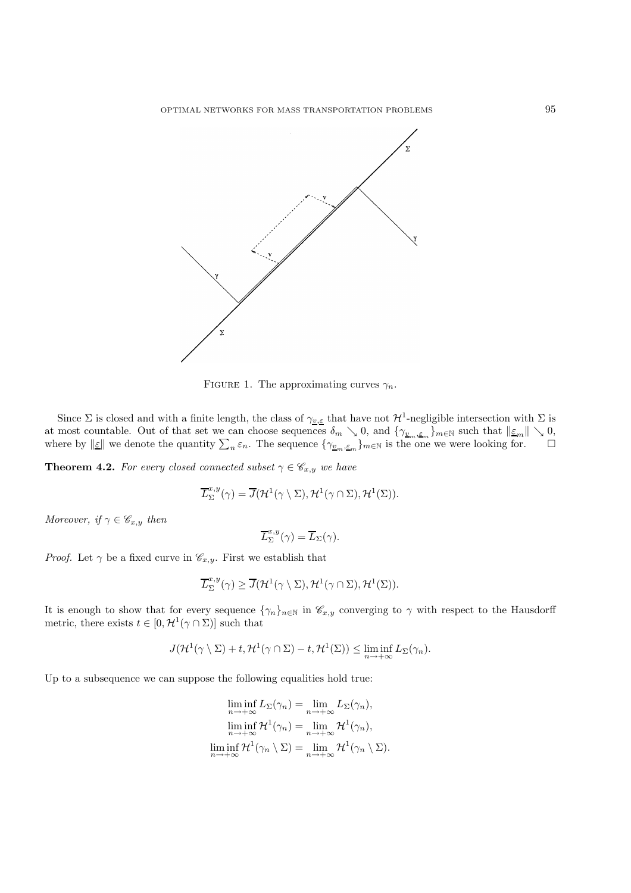

FIGURE 1. The approximating curves  $\gamma_n$ .

Since  $\Sigma$  is closed and with a finite length, the class of  $\gamma_{v,\varepsilon}$  that have not  $\mathcal{H}^1$ -negligible intersection with  $\Sigma$  is at most countable. Out of that set we can choose sequences  $\delta_m \searrow 0$ , and  $\{\gamma_{\underline{v}_m,\underline{\varepsilon}_m}\}_{m\in\mathbb{N}}$  such that  $\|\underline{\varepsilon}_m\| \searrow 0$ , where by  $\|\underline{\varepsilon}\|$  we denote the quantity  $\sum_n \varepsilon_n$ . The sequence  $\{\gamma_{\underline{v}_m,\underline{\varepsilon}_m}\}_{m\in\mathbb{N}}$  is the one we were looking for.  $\Box$ 

**Theorem 4.2.** *For every closed connected subset*  $\gamma \in \mathscr{C}_{x,y}$  *we have* 

$$
\overline{L}^{x,y}_{\Sigma}(\gamma)=\overline{J}(\mathcal{H}^{1}(\gamma\setminus\Sigma),\mathcal{H}^{1}(\gamma\cap\Sigma),\mathcal{H}^{1}(\Sigma)).
$$

*Moreover, if*  $\gamma \in \mathscr{C}_{x,y}$  *then* 

$$
\overline{L}_{\Sigma}^{x,y}(\gamma) = \overline{L}_{\Sigma}(\gamma).
$$

*Proof.* Let  $\gamma$  be a fixed curve in  $\mathcal{C}_{x,y}$ . First we establish that

$$
\overline{L}_{\Sigma}^{x,y}(\gamma) \geq \overline{J}(\mathcal{H}^1(\gamma \setminus \Sigma), \mathcal{H}^1(\gamma \cap \Sigma), \mathcal{H}^1(\Sigma)).
$$

It is enough to show that for every sequence  $\{\gamma_n\}_{n\in\mathbb{N}}$  in  $\mathscr{C}_{x,y}$  converging to  $\gamma$  with respect to the Hausdorff metric, there exists  $t \in [0, \mathcal{H}^1(\gamma \cap \Sigma)]$  such that

$$
J(\mathcal{H}^1(\gamma \setminus \Sigma) + t, \mathcal{H}^1(\gamma \cap \Sigma) - t, \mathcal{H}^1(\Sigma)) \leq \liminf_{n \to +\infty} L_{\Sigma}(\gamma_n).
$$

Up to a subsequence we can suppose the following equalities hold true:

$$
\liminf_{n \to +\infty} L_{\Sigma}(\gamma_n) = \lim_{n \to +\infty} L_{\Sigma}(\gamma_n),
$$
  
\n
$$
\liminf_{n \to +\infty} \mathcal{H}^1(\gamma_n) = \lim_{n \to +\infty} \mathcal{H}^1(\gamma_n),
$$
  
\n
$$
\liminf_{n \to +\infty} \mathcal{H}^1(\gamma_n \setminus \Sigma) = \lim_{n \to +\infty} \mathcal{H}^1(\gamma_n \setminus \Sigma).
$$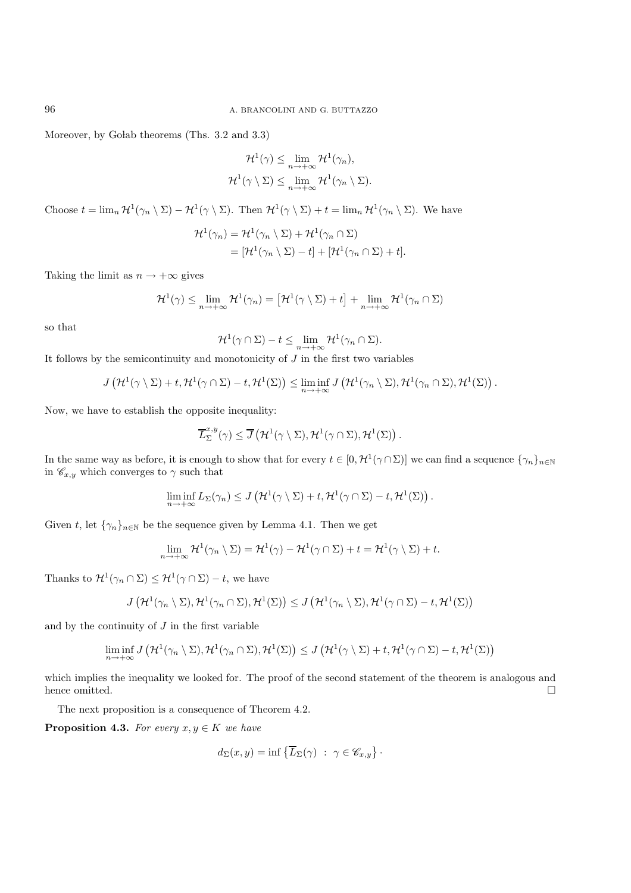Moreover, by Golab theorems (Ths. 3.2 and 3.3)

$$
\mathcal{H}^1(\gamma) \leq \lim_{n \to +\infty} \mathcal{H}^1(\gamma_n),
$$
  

$$
\mathcal{H}^1(\gamma \setminus \Sigma) \leq \lim_{n \to +\infty} \mathcal{H}^1(\gamma_n \setminus \Sigma).
$$

Choose  $t = \lim_n \mathcal{H}^1(\gamma_n \setminus \Sigma) - \mathcal{H}^1(\gamma \setminus \Sigma)$ . Then  $\mathcal{H}^1(\gamma \setminus \Sigma) + t = \lim_n \mathcal{H}^1(\gamma_n \setminus \Sigma)$ . We have

$$
\mathcal{H}^{1}(\gamma_{n}) = \mathcal{H}^{1}(\gamma_{n} \setminus \Sigma) + \mathcal{H}^{1}(\gamma_{n} \cap \Sigma)
$$
  
= 
$$
[\mathcal{H}^{1}(\gamma_{n} \setminus \Sigma) - t] + [\mathcal{H}^{1}(\gamma_{n} \cap \Sigma) + t].
$$

Taking the limit as  $n \to +\infty$  gives

$$
\mathcal{H}^1(\gamma) \leq \lim_{n \to +\infty} \mathcal{H}^1(\gamma_n) = \left[ \mathcal{H}^1(\gamma \setminus \Sigma) + t \right] + \lim_{n \to +\infty} \mathcal{H}^1(\gamma_n \cap \Sigma)
$$

so that

$$
\mathcal{H}^1(\gamma \cap \Sigma) - t \le \lim_{n \to +\infty} \mathcal{H}^1(\gamma_n \cap \Sigma).
$$

It follows by the semicontinuity and monotonicity of  $J$  in the first two variables

$$
J\left(\mathcal{H}^1(\gamma \setminus \Sigma) + t, \mathcal{H}^1(\gamma \cap \Sigma) - t, \mathcal{H}^1(\Sigma)\right) \leq \liminf_{n \to +\infty} J\left(\mathcal{H}^1(\gamma_n \setminus \Sigma), \mathcal{H}^1(\gamma_n \cap \Sigma), \mathcal{H}^1(\Sigma)\right).
$$

Now, we have to establish the opposite inequality:

$$
\overline{L}_{\Sigma}^{x,y}(\gamma) \leq \overline{J}\left(\mathcal{H}^1(\gamma \setminus \Sigma), \mathcal{H}^1(\gamma \cap \Sigma), \mathcal{H}^1(\Sigma)\right).
$$

In the same way as before, it is enough to show that for every  $t \in [0, \mathcal{H}^1(\gamma \cap \Sigma)]$  we can find a sequence  $\{\gamma_n\}_{n \in \mathbb{N}}$ in  $\mathscr{C}_{x,y}$  which converges to  $\gamma$  such that

$$
\liminf_{n\to+\infty}L_{\Sigma}(\gamma_n)\leq J\left(\mathcal{H}^1(\gamma\setminus\Sigma)+t,\mathcal{H}^1(\gamma\cap\Sigma)-t,\mathcal{H}^1(\Sigma)\right).
$$

Given t, let  $\{\gamma_n\}_{n\in\mathbb{N}}$  be the sequence given by Lemma 4.1. Then we get

$$
\lim_{n \to +\infty} \mathcal{H}^1(\gamma_n \setminus \Sigma) = \mathcal{H}^1(\gamma) - \mathcal{H}^1(\gamma \cap \Sigma) + t = \mathcal{H}^1(\gamma \setminus \Sigma) + t.
$$

Thanks to  $\mathcal{H}^1(\gamma_n \cap \Sigma) \leq \mathcal{H}^1(\gamma \cap \Sigma) - t$ , we have

$$
J\left(\mathcal{H}^1(\gamma_n\setminus\Sigma),\mathcal{H}^1(\gamma_n\cap\Sigma),\mathcal{H}^1(\Sigma)\right)\leq J\left(\mathcal{H}^1(\gamma_n\setminus\Sigma),\mathcal{H}^1(\gamma\cap\Sigma)-t,\mathcal{H}^1(\Sigma)\right)
$$

and by the continuity of  $J$  in the first variable

$$
\liminf_{n \to +\infty} J\left(\mathcal{H}^1(\gamma_n \setminus \Sigma), \mathcal{H}^1(\gamma_n \cap \Sigma), \mathcal{H}^1(\Sigma)\right) \le J\left(\mathcal{H}^1(\gamma \setminus \Sigma) + t, \mathcal{H}^1(\gamma \cap \Sigma) - t, \mathcal{H}^1(\Sigma)\right)
$$

which implies the inequality we looked for. The proof of the second statement of the theorem is analogous and hence omitted.  $\square$ 

The next proposition is a consequence of Theorem 4.2.

**Proposition 4.3.** *For every*  $x, y \in K$  *we have* 

$$
d_{\Sigma}(x, y) = \inf \{ \overline{L}_{\Sigma}(\gamma) : \gamma \in \mathscr{C}_{x, y} \}.
$$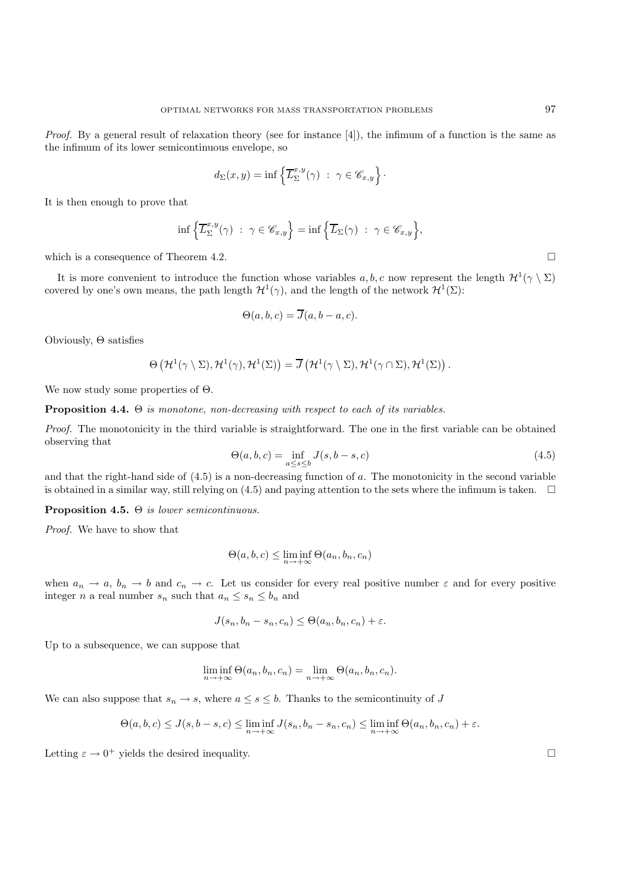*Proof.* By a general result of relaxation theory (see for instance [4]), the infimum of a function is the same as the infimum of its lower semicontinuous envelope, so

$$
d_{\Sigma}(x,y) = \inf \left\{ \overline{L}_{\Sigma}^{x,y}(\gamma) \ : \ \gamma \in \mathscr{C}_{x,y} \right\}.
$$

It is then enough to prove that

$$
\inf \left\{ \overline{L}_{\Sigma}^{x,y}(\gamma) \ : \ \gamma \in \mathscr{C}_{x,y} \right\} = \inf \left\{ \overline{L}_{\Sigma}(\gamma) \ : \ \gamma \in \mathscr{C}_{x,y} \right\},\
$$

which is a consequence of Theorem 4.2.  $\Box$ 

It is more convenient to introduce the function whose variables a, b, c now represent the length  $\mathcal{H}^1(\gamma \setminus \Sigma)$ covered by one's own means, the path length  $\mathcal{H}^1(\gamma)$ , and the length of the network  $\mathcal{H}^1(\Sigma)$ :

$$
\Theta(a, b, c) = \overline{J}(a, b - a, c).
$$

Obviously, Θ satisfies

$$
\Theta\left(\mathcal{H}^1(\gamma \setminus \Sigma), \mathcal{H}^1(\gamma), \mathcal{H}^1(\Sigma)\right) = \overline{J}\left(\mathcal{H}^1(\gamma \setminus \Sigma), \mathcal{H}^1(\gamma \cap \Sigma), \mathcal{H}^1(\Sigma)\right).
$$

We now study some properties of Θ.

**Proposition 4.4.** Θ *is monotone, non-decreasing with respect to each of its variables.*

*Proof.* The monotonicity in the third variable is straightforward. The one in the first variable can be obtained observing that

$$
\Theta(a, b, c) = \inf_{a \le s \le b} J(s, b - s, c)
$$
\n(4.5)

and that the right-hand side of (4.5) is a non-decreasing function of a. The monotonicity in the second variable is obtained in a similar way, still relying on  $(4.5)$  and paying attention to the sets where the infimum is taken.  $\Box$ 

**Proposition 4.5.** Θ *is lower semicontinuous.*

*Proof.* We have to show that

$$
\Theta(a, b, c) \le \liminf_{n \to +\infty} \Theta(a_n, b_n, c_n)
$$

when  $a_n \to a$ ,  $b_n \to b$  and  $c_n \to c$ . Let us consider for every real positive number  $\varepsilon$  and for every positive integer *n* a real number  $s_n$  such that  $a_n \leq s_n \leq b_n$  and

$$
J(s_n, b_n - s_n, c_n) \leq \Theta(a_n, b_n, c_n) + \varepsilon.
$$

Up to a subsequence, we can suppose that

$$
\liminf_{n \to +\infty} \Theta(a_n, b_n, c_n) = \lim_{n \to +\infty} \Theta(a_n, b_n, c_n).
$$

We can also suppose that  $s_n \to s$ , where  $a \leq s \leq b$ . Thanks to the semicontinuity of J

$$
\Theta(a,b,c) \leq J(s,b-s,c) \leq \liminf_{n \to +\infty} J(s_n,b_n-s_n,c_n) \leq \liminf_{n \to +\infty} \Theta(a_n,b_n,c_n) + \varepsilon.
$$

Letting  $\varepsilon \to 0^+$  yields the desired inequality.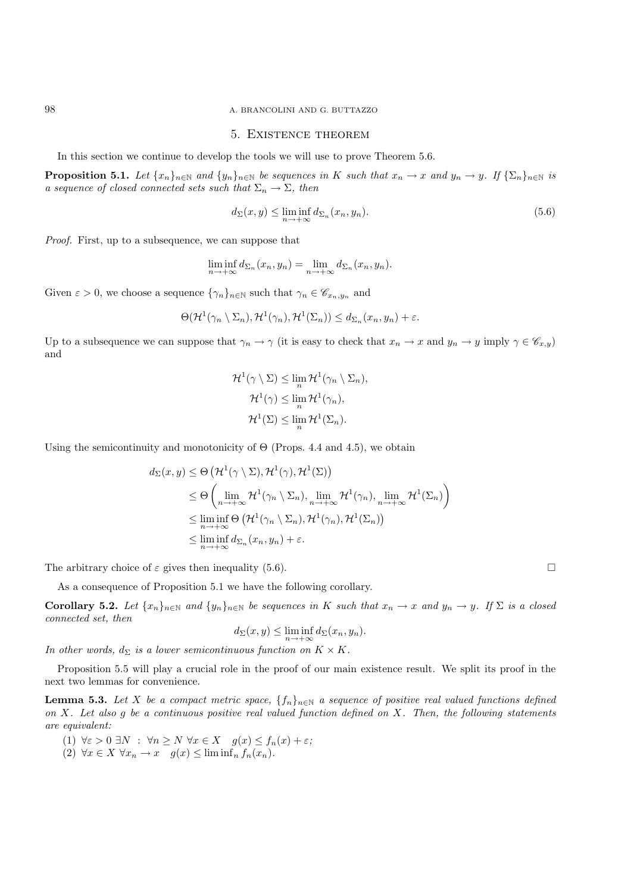#### 5. Existence theorem

In this section we continue to develop the tools we will use to prove Theorem 5.6.

**Proposition 5.1.** *Let*  $\{x_n\}_{n\in\mathbb{N}}$  *and*  $\{y_n\}_{n\in\mathbb{N}}$  *be sequences in* K *such that*  $x_n \to x$  *and*  $y_n \to y$ *.* If  $\{\sum_n\}_{n\in\mathbb{N}}$  *is a sequence of closed connected sets such that*  $\Sigma_n \to \Sigma$ *, then* 

$$
d_{\Sigma}(x, y) \le \liminf_{n \to +\infty} d_{\Sigma_n}(x_n, y_n). \tag{5.6}
$$

*Proof.* First, up to a subsequence, we can suppose that

$$
\liminf_{n \to +\infty} d_{\Sigma_n}(x_n, y_n) = \lim_{n \to +\infty} d_{\Sigma_n}(x_n, y_n).
$$

Given  $\varepsilon > 0$ , we choose a sequence  $\{\gamma_n\}_{n \in \mathbb{N}}$  such that  $\gamma_n \in \mathscr{C}_{x_n, y_n}$  and

$$
\Theta(\mathcal{H}^1(\gamma_n \setminus \Sigma_n), \mathcal{H}^1(\gamma_n), \mathcal{H}^1(\Sigma_n)) \leq d_{\Sigma_n}(x_n, y_n) + \varepsilon.
$$

Up to a subsequence we can suppose that  $\gamma_n \to \gamma$  (it is easy to check that  $x_n \to x$  and  $y_n \to y$  imply  $\gamma \in \mathscr{C}_{x,y}$ ) and

$$
\mathcal{H}^{1}(\gamma \setminus \Sigma) \leq \lim_{n} \mathcal{H}^{1}(\gamma_{n} \setminus \Sigma_{n}),
$$

$$
\mathcal{H}^{1}(\gamma) \leq \lim_{n} \mathcal{H}^{1}(\gamma_{n}),
$$

$$
\mathcal{H}^{1}(\Sigma) \leq \lim_{n} \mathcal{H}^{1}(\Sigma_{n}).
$$

Using the semicontinuity and monotonicity of  $\Theta$  (Props. 4.4 and 4.5), we obtain

$$
d_{\Sigma}(x, y) \leq \Theta \left(\mathcal{H}^{1}(\gamma \setminus \Sigma), \mathcal{H}^{1}(\gamma), \mathcal{H}^{1}(\Sigma)\right)
$$
  
\n
$$
\leq \Theta \left(\lim_{n \to +\infty} \mathcal{H}^{1}(\gamma_{n} \setminus \Sigma_{n}), \lim_{n \to +\infty} \mathcal{H}^{1}(\gamma_{n}), \lim_{n \to +\infty} \mathcal{H}^{1}(\Sigma_{n})\right)
$$
  
\n
$$
\leq \liminf_{n \to +\infty} \Theta \left(\mathcal{H}^{1}(\gamma_{n} \setminus \Sigma_{n}), \mathcal{H}^{1}(\gamma_{n}), \mathcal{H}^{1}(\Sigma_{n})\right)
$$
  
\n
$$
\leq \liminf_{n \to +\infty} d_{\Sigma_{n}}(x_{n}, y_{n}) + \varepsilon.
$$

The arbitrary choice of  $\varepsilon$  gives then inequality (5.6).

As a consequence of Proposition 5.1 we have the following corollary.

**Corollary 5.2.** *Let*  $\{x_n\}_{n\in\mathbb{N}}$  *and*  $\{y_n\}_{n\in\mathbb{N}}$  *be sequences in* K *such that*  $x_n \to x$  *and*  $y_n \to y$ *.* If  $\Sigma$  *is a closed connected set, then*

$$
d_{\Sigma}(x, y) \le \liminf_{n \to +\infty} d_{\Sigma}(x_n, y_n).
$$

*In other words,*  $d_{\Sigma}$  *is a lower semicontinuous function on*  $K \times K$ *.* 

Proposition 5.5 will play a crucial role in the proof of our main existence result. We split its proof in the next two lemmas for convenience.

**Lemma 5.3.** *Let* X *be a compact metric space,*  $\{f_n\}_{n\in\mathbb{N}}$  *a sequence of positive real valued functions defined on* X*. Let also* g *be a continuous positive real valued function defined on* X*. Then, the following statements are equivalent:*

(1) 
$$
\forall \varepsilon > 0 \ \exists N : \ \forall n \ge N \ \forall x \in X \quad g(x) \le f_n(x) + \varepsilon;
$$

(2) 
$$
\forall x \in X \ \forall x_n \to x \quad g(x) \leq \liminf_n f_n(x_n).
$$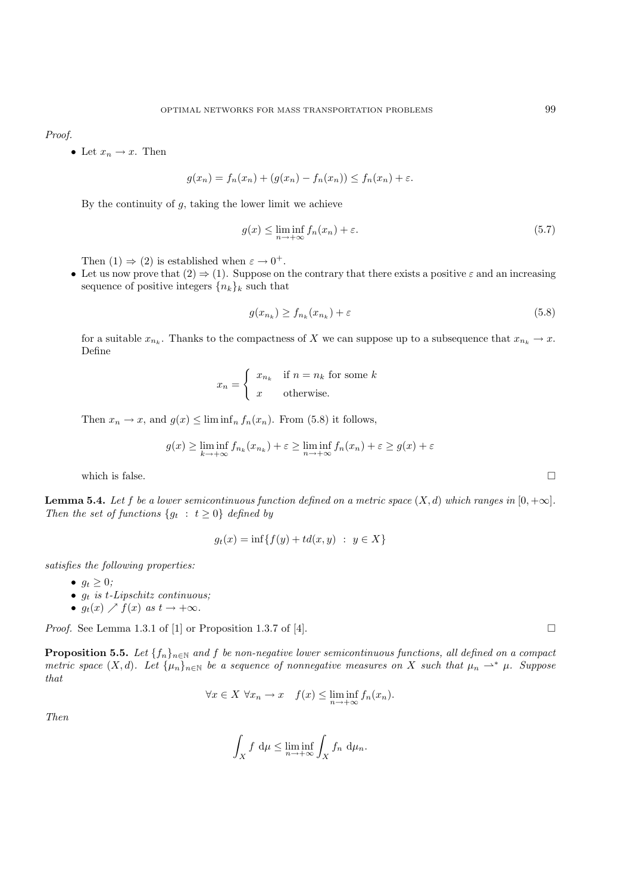*Proof.*

• Let  $x_n \to x$ . Then

$$
g(x_n) = f_n(x_n) + (g(x_n) - f_n(x_n)) \le f_n(x_n) + \varepsilon.
$$

By the continuity of  $g$ , taking the lower limit we achieve

$$
g(x) \le \liminf_{n \to +\infty} f_n(x_n) + \varepsilon. \tag{5.7}
$$

Then  $(1) \Rightarrow (2)$  is established when  $\varepsilon \to 0^+$ .

• Let us now prove that  $(2) \Rightarrow (1)$ . Suppose on the contrary that there exists a positive  $\varepsilon$  and an increasing sequence of positive integers  ${n_k}_k$  such that

$$
g(x_{n_k}) \ge f_{n_k}(x_{n_k}) + \varepsilon \tag{5.8}
$$

for a suitable  $x_{n_k}$ . Thanks to the compactness of X we can suppose up to a subsequence that  $x_{n_k} \to x$ . Define

$$
x_n = \begin{cases} x_{n_k} & \text{if } n = n_k \text{ for some } k\\ x & \text{otherwise.} \end{cases}
$$

Then  $x_n \to x$ , and  $g(x) \leq \liminf_n f_n(x_n)$ . From (5.8) it follows,

$$
g(x) \ge \liminf_{k \to +\infty} f_{n_k}(x_{n_k}) + \varepsilon \ge \liminf_{n \to +\infty} f_n(x_n) + \varepsilon \ge g(x) + \varepsilon
$$

which is false.  $\Box$ 

**Lemma 5.4.** *Let* f *be a lower semicontinuous function defined on a metric space*  $(X, d)$  *which ranges in*  $[0, +\infty]$ *. Then the set of functions*  $\{g_t : t \geq 0\}$  *defined by* 

$$
g_t(x) = \inf\{f(y) + td(x, y) : y \in X\}
$$

*satisfies the following properties:*

•  $q_t \geq 0$ ;

- g<sup>t</sup> *is* t*-Lipschitz continuous;*
- $g_t(x) \nearrow f(x)$  as  $t \to +\infty$ .

*Proof.* See Lemma 1.3.1 of [1] or Proposition 1.3.7 of [4].

**Proposition 5.5.** *Let*  $\{f_n\}_{n\in\mathbb{N}}$  *and*  $f$  *be non-negative lower semicontinuous functions, all defined on a compact metric space*  $(X, d)$ *. Let*  $\{\mu_n\}_{n \in \mathbb{N}}$  *be a sequence of nonnegative measures on* X *such that*  $\mu_n \rightharpoonup^* \mu$ *. Suppose that*

$$
\forall x \in X \,\,\forall x_n \to x \quad f(x) \le \liminf_{n \to +\infty} f_n(x_n).
$$

*Then*

$$
\int_X f \, \mathrm{d}\mu \le \liminf_{n \to +\infty} \int_X f_n \, \mathrm{d}\mu_n.
$$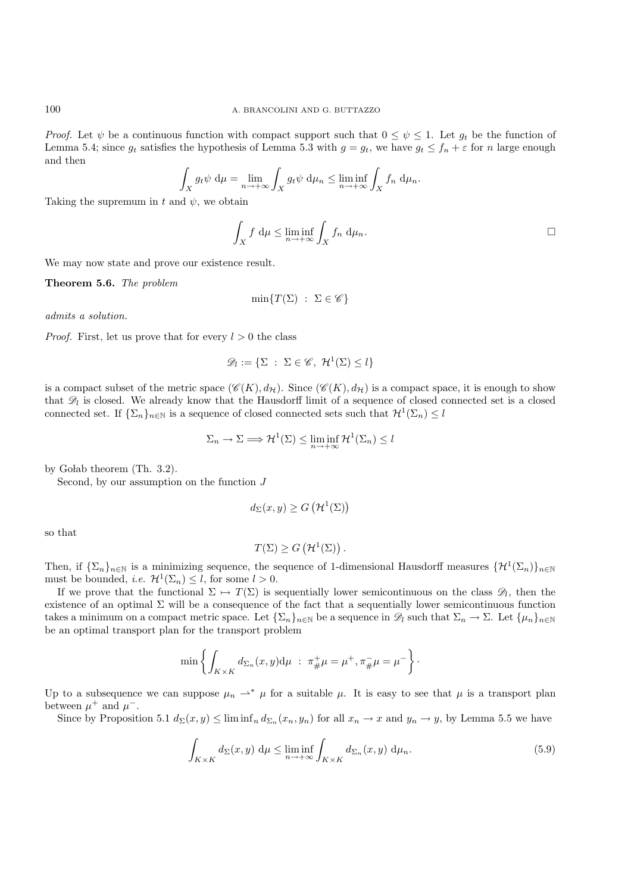*Proof.* Let  $\psi$  be a continuous function with compact support such that  $0 \leq \psi \leq 1$ . Let  $g_t$  be the function of Lemma 5.4; since  $g_t$  satisfies the hypothesis of Lemma 5.3 with  $g = g_t$ , we have  $g_t \leq f_n + \varepsilon$  for n large enough and then

$$
\int_X g_t \psi \, d\mu = \lim_{n \to +\infty} \int_X g_t \psi \, d\mu_n \le \liminf_{n \to +\infty} \int_X f_n \, d\mu_n.
$$

Taking the supremum in t and  $\psi$ , we obtain

$$
\int_X f \, d\mu \le \liminf_{n \to +\infty} \int_X f_n \, d\mu_n.
$$

We may now state and prove our existence result.

**Theorem 5.6.** *The problem*

$$
\min\{T(\Sigma)\;:\;\Sigma\in\mathscr{C}\}
$$

*admits a solution.*

*Proof.* First, let us prove that for every  $l > 0$  the class

$$
\mathscr{D}_l := \{ \Sigma \ : \ \Sigma \in \mathscr{C}, \ \mathcal{H}^1(\Sigma) \leq l \}
$$

is a compact subset of the metric space  $(\mathscr{C}(K), d_{\mathcal{H}})$ . Since  $(\mathscr{C}(K), d_{\mathcal{H}})$  is a compact space, it is enough to show that  $\mathscr{D}_l$  is closed. We already know that the Hausdorff limit of a sequence of closed connected set is a closed connected set. If  $\{\Sigma_n\}_{n\in\mathbb{N}}$  is a sequence of closed connected sets such that  $\mathcal{H}^1(\Sigma_n)\leq l$ 

$$
\Sigma_n \to \Sigma \Longrightarrow \mathcal{H}^1(\Sigma) \le \liminf_{n \to +\infty} \mathcal{H}^1(\Sigma_n) \le l
$$

by Golab theorem (Th. 3.2).

Second, by our assumption on the function  $J$ 

$$
d_{\Sigma}(x, y) \ge G\left(\mathcal{H}^1(\Sigma)\right)
$$

so that

$$
T(\Sigma) \ge G\left(\mathcal{H}^1(\Sigma)\right).
$$

Then, if  $\{\Sigma_n\}_{n\in\mathbb{N}}$  is a minimizing sequence, the sequence of 1-dimensional Hausdorff measures  $\{\mathcal{H}^1(\Sigma_n)\}_{n\in\mathbb{N}}$ must be bounded, *i.e.*  $\mathcal{H}^1(\Sigma_n) \leq l$ , for some  $l > 0$ .

If we prove that the functional  $\Sigma \mapsto T(\Sigma)$  is sequentially lower semicontinuous on the class  $\mathscr{D}_l$ , then the existence of an optimal  $\Sigma$  will be a consequence of the fact that a sequentially lower semicontinuous function takes a minimum on a compact metric space. Let  $\{\Sigma_n\}_{n\in\mathbb{N}}$  be a sequence in  $\mathscr{D}_l$  such that  $\Sigma_n \to \Sigma$ . Let  $\{\mu_n\}_{n\in\mathbb{N}}$ be an optimal transport plan for the transport problem

$$
\min \left\{ \int_{K \times K} d_{\Sigma_n}(x, y) d\mu \; : \; \pi^+_{\#} \mu = \mu^+, \pi^-_{\#} \mu = \mu^- \right\}.
$$

Up to a subsequence we can suppose  $\mu_n \rightharpoonup^* \mu$  for a suitable  $\mu$ . It is easy to see that  $\mu$  is a transport plan between  $\mu^+$  and  $\mu^-$ .

Since by Proposition 5.1  $d_{\Sigma}(x, y) \le \liminf_n d_{\Sigma_n}(x_n, y_n)$  for all  $x_n \to x$  and  $y_n \to y$ , by Lemma 5.5 we have

$$
\int_{K \times K} d_{\Sigma}(x, y) d\mu \le \liminf_{n \to +\infty} \int_{K \times K} d_{\Sigma_n}(x, y) d\mu_n.
$$
\n(5.9)